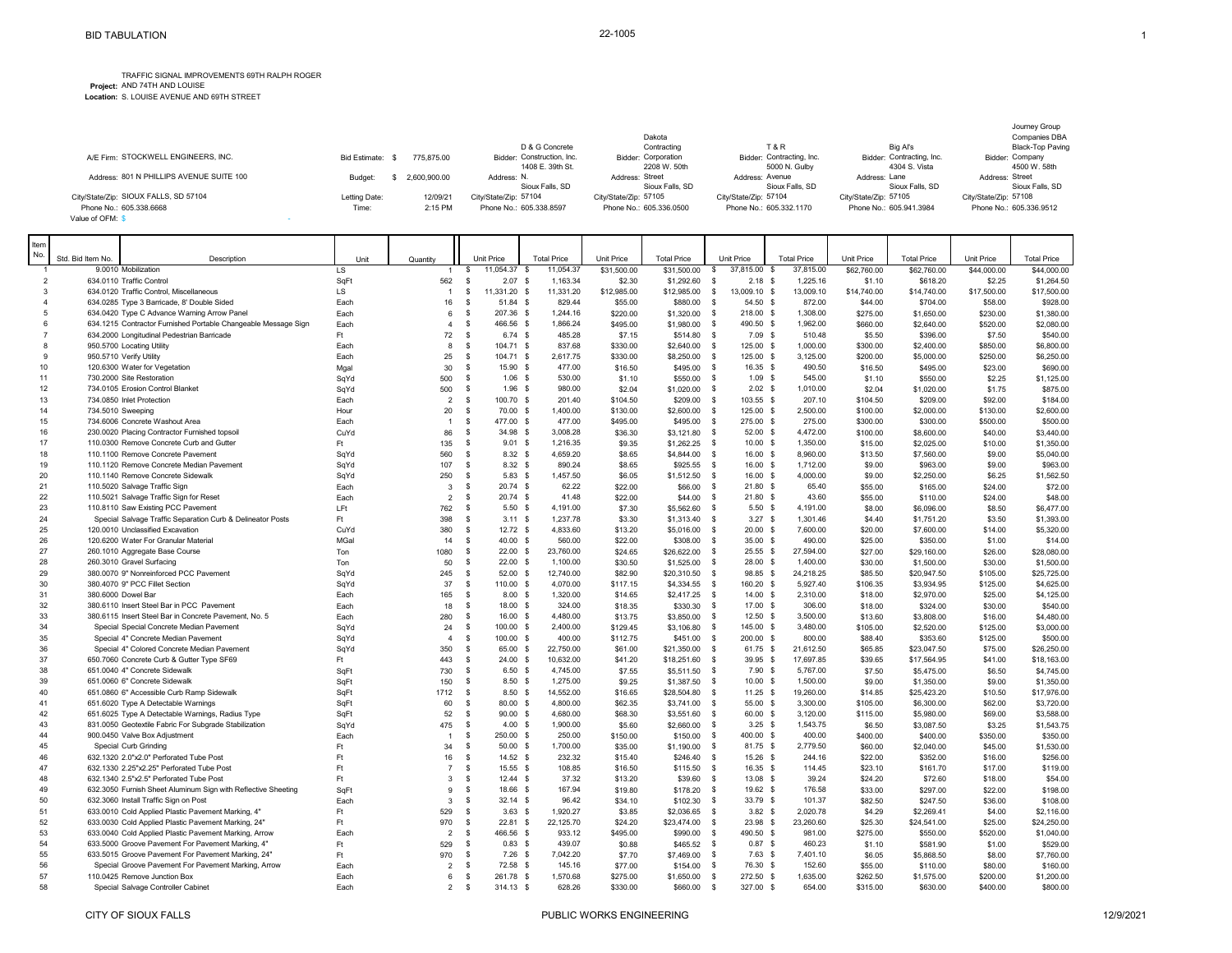TRAFFIC SIGNAL IMPROVEMENTS 69TH RALPH ROGER

**Project:** AND 74TH AND LOUISE **Location:** S. LOUISE AVENUE AND 69TH STREET

|                                                                  |                        |                     | D & G Concrete                                   | Dakota<br>Contracting                            | <b>T&amp;R</b>                                   | Big Al's                                         |                       | Journey Group<br>Companies DBA<br>Black-Top Paving |
|------------------------------------------------------------------|------------------------|---------------------|--------------------------------------------------|--------------------------------------------------|--------------------------------------------------|--------------------------------------------------|-----------------------|----------------------------------------------------|
| A/E Firm: STOCKWELL ENGINEERS, INC.                              | Bid Estimate:          | 775.875.00          | Bidder: Construction, Inc.<br>1408 E. 39th St.   | Bidder: Corporation<br>2208 W. 50th              | Bidder: Contracting, Inc.<br>5000 N. Gulby       | Bidder: Contracting, Inc.<br>4304 S. Vista       |                       | Bidder: Company<br>4500 W. 58th                    |
| Address: 801 N PHILLIPS AVENUE SUITE 100                         | Budget:                | 2.600.900.00        | Address: N.<br>Sioux Falls, SD                   | Address: Street<br>Sioux Falls, SD               | Address: Avenue<br>Sioux Falls, SD               | Address: Lane<br>Sioux Falls, SD                 | Address: Street       | Sioux Falls, SD                                    |
| City/State/Zip: SIOUX FALLS, SD 57104<br>Phone No.: 605.338.6668 | Letting Date:<br>Time: | 12/09/21<br>2:15 PM | City/State/Zip: 57104<br>Phone No.: 605.338.8597 | City/State/Zip: 57105<br>Phone No.: 605.336.0500 | City/State/Zip: 57104<br>Phone No.: 605.332.1170 | City/State/Zip: 57105<br>Phone No.: 605.941.3984 | City/State/Zip: 57108 | Phone No.: 605.336.9512                            |
| Value of OFM: \$                                                 |                        |                     |                                                  |                                                  |                                                  |                                                  |                       |                                                    |

| Item |                     |                                                                                                |              |                               |                             |                                                |                     |                           |                                      |                       |                     |                           |                     |                           |
|------|---------------------|------------------------------------------------------------------------------------------------|--------------|-------------------------------|-----------------------------|------------------------------------------------|---------------------|---------------------------|--------------------------------------|-----------------------|---------------------|---------------------------|---------------------|---------------------------|
| No.  | Std. Bid Item No.   | Description                                                                                    | Unit         | Quantity                      | Unit Price                  | <b>Total Price</b>                             | Unit Price          | <b>Total Price</b>        | Unit Price                           | <b>Total Price</b>    | Unit Price          | <b>Total Price</b>        | Unit Price          | <b>Total Price</b>        |
|      |                     | 9.0010 Mobilization                                                                            | <b>LS</b>    |                               | \$<br>11.054.37             | 11.054.37<br>- \$                              | \$31,500.00         | \$31,500.00               | -S<br>37,815.00                      | 37.815.00<br>- \$     | \$62,760.00         | \$62,760.00               | \$44,000.00         | \$44,000.00               |
|      | $\overline{2}$      | 634.0110 Traffic Control                                                                       | SaF1         | 562                           | - S                         | $2.07$ \$<br>1,163.34                          | \$2.30              | \$1,292.60                | $2.18$ \$<br>-S                      | 1,225.16              | \$1.10              | \$618.20                  | \$2.25              | \$1,264.50                |
|      | $\mathbf{3}$        | 634.0120 Traffic Control, Miscellaneous                                                        | <b>LS</b>    | $\overline{1}$                | <b>S</b><br>11,331.20 \$    | 11,331.20                                      | \$12,985.00         | \$12,985.00               | \$<br>13,009.10 \$                   | 13,009.10             | \$14,740.00         | \$14,740.00               | \$17,500.00         | \$17,500.00               |
|      | $\overline{4}$      | 634.0285 Type 3 Barricade, 8' Double Sided                                                     | Each         | 16                            | -S                          | 51.84 \$<br>829.44                             | \$55.00             | \$880.00                  | 54.50 \$<br>-S                       | 872.00                | \$44.00             | \$704.00                  | \$58.00             | \$928.00                  |
|      | 5                   | 634.0420 Type C Advance Warning Arrow Panel                                                    | Each         | 6                             | 207.36 \$<br>-S             | 1,244.16                                       | \$220.00            | \$1,320.00                | -S<br>218.00 \$                      | 1,308.00              | \$275.00            | \$1,650.00                | \$230.00            | \$1,380.00                |
|      | 6<br>$\overline{7}$ | 634.1215 Contractor Furnished Portable Changeable Message Sign                                 | Each<br>Ft.  | $\overline{4}$<br>72          | 466.56 \$<br>-S<br><b>S</b> | 1,866.24                                       | \$495.00            | \$1,980.00                | 490.50 \$<br>-S<br>$7.09$ \$         | 1,962.00<br>510.48    | \$660.00<br>\$5.50  | \$2,640.00                | \$520.00<br>\$7.50  | \$2,080.00<br>\$540.00    |
|      | 8                   | 634.2000 Longitudinal Pedestrian Barricade<br>950.5700 Locating Utility                        | Each         | 8                             | 104.71 \$<br>-S             | $6.74$ \$<br>485.28<br>837.68                  | \$7.15<br>\$330.00  | \$514.80                  | -S<br>125.00 \$<br>-S                | 1,000.00              | \$300.00            | \$396.00                  | \$850.00            | \$6,800.00                |
|      | 9                   | 950.5710 Verify Utility                                                                        | Each         | 25                            | - \$<br>104.71 \$           | 2,617.75                                       | \$330.00            | \$2,640.00<br>\$8,250.00  | 125.00 \$<br>-S                      | 3,125.00              | \$200.00            | \$2,400.00<br>\$5,000.00  | \$250.00            | \$6,250.00                |
|      | 10                  | 120.6300 Water for Vegetation                                                                  | Mgal         | 30                            | \$                          | 477.00<br>15.90 \$                             | \$16.50             | \$495.00                  | 16.35 \$<br>-S                       | 490.50                | \$16.50             | \$495.00                  | \$23.00             | \$690.00                  |
|      | 11                  | 730.2000 Site Restoration                                                                      | SqYd         | 500                           | - \$                        | $1.06$ \$<br>530.00                            | \$1.10              | \$550.00                  | $1.09$ \$<br>-S                      | 545.00                | \$1.10              | \$550.00                  | \$2.25              | \$1,125.00                |
|      | 12                  | 734.0105 Erosion Control Blanket                                                               | SqYd         | 500                           | <b>S</b>                    | $1.96$ \$<br>980.00                            | \$2.04              | \$1,020.00                | $2.02$ \$<br>-S                      | 1,010.00              | \$2.04              | \$1,020.00                | \$1.75              | \$875.00                  |
|      | 13                  | 734.0850 Inlet Protection                                                                      | Each         | $\overline{2}$                | 100.70 \$<br>- \$           | 201.40                                         | \$104.50            | \$209.00                  | 103.55 \$<br>-S                      | 207.10                | \$104.50            | \$209.00                  | \$92.00             | \$184.00                  |
|      | 14                  | 734.5010 Sweeping                                                                              | Hour         | 20                            | <b>S</b>                    | 70.00 \$<br>1,400.00                           | \$130.00            | \$2,600.00                | 125.00 \$<br>-S                      | 2,500.00              | \$100.00            | \$2,000.00                | \$130.00            | \$2,600.00                |
|      | 15                  | 734.6006 Concrete Washout Area                                                                 | Each         | $\overline{1}$                | <b>S</b><br>477.00 \$       | 477.00                                         | \$495.00            | \$495.00                  | 275.00 \$<br>-S                      | 275.00                | \$300.00            | \$300.00                  | \$500.00            | \$500.00                  |
|      | 16                  | 230.0020 Placing Contractor Furnished topsoil                                                  | CuYd         | 86                            | <b>S</b>                    | 34.98 \$<br>3,008.28                           | \$36.30             | \$3,121.80                | 52.00 \$<br>-S                       | 4,472.00              | \$100.00            | \$8,600.00                | \$40.00             | \$3,440.00                |
|      | 17                  | 110.0300 Remove Concrete Curb and Gutter                                                       | Ft           | 135                           | \$                          | $9.01$ \$<br>1,216.35                          | \$9.35              | \$1,262.25                | $10.00$ \$<br>$\mathbf s$            | 1,350.00              | \$15.00             | \$2,025.00                | \$10.00             | \$1,350.00                |
|      | 18                  | 110.1100 Remove Concrete Pavement                                                              | SqYd         | 560                           | - \$                        | $8.32$ \$<br>4.659.20                          | \$8.65              | \$4,844.00                | 16.00 \$<br>-S                       | 8,960.00              | \$13.50             | \$7,560.00                | \$9.00              | \$5,040.00                |
|      | 19                  | 110.1120 Remove Concrete Median Pavement                                                       | SqYd         | 107                           | -S                          | $8.32$ \$<br>890.24                            | \$8.65              | \$925.55                  | - \$<br>16.00 S                      | 1,712.00              | \$9.00              | \$963.00                  | \$9.00              | \$963.00                  |
|      | 20                  | 110.1140 Remove Concrete Sidewalk                                                              | SqYd         | 250                           | - \$                        | $5.83$ \$<br>1,457.50                          | \$6.05              | \$1,512.50                | 16.00 \$<br>-S                       | 4,000.00              | \$9.00              | \$2,250.00                | \$6.25              | \$1,562.50                |
|      | 21                  | 110.5020 Salvage Traffic Sign                                                                  | Each         | $\overline{3}$                | <b>S</b>                    | $20.74$ \$<br>62.22                            | \$22.00             | \$66.00                   | <b>S</b><br>21.80 S                  | 65.40                 | \$55.00             | \$165.00                  | \$24.00             | \$72.00                   |
|      | 22                  | 110.5021 Salvage Traffic Sign for Reset                                                        | Each         | 2                             | - S                         | $20.74$ \$<br>41.48                            | \$22.00             | \$44.00                   | -S<br>21.80 S                        | 43.60                 | \$55.00             | \$110.00                  | \$24.00             | \$48.00                   |
|      | 23<br>24            | 110.8110 Saw Existing PCC Pavement                                                             | LFt          | 762                           | -S<br>- \$                  | $5.50$ \$<br>4,191.00<br>$3.11$ \$<br>1,237.78 | \$7.30              | \$5,562.60                | -S<br>$5.50$ \$<br>$3.27$ \$         | 4,191.00<br>1,301.46  | \$8.00              | \$6,096.00                | \$8.50              | \$6,477.00                |
|      | 25                  | Special Salvage Traffic Separation Curb & Delineator Posts<br>120,0010 Unclassified Excavation | Ft<br>CuYd   | 398<br>380                    | <b>S</b>                    | $12.72$ \$<br>4.833.60                         | \$3.30<br>\$13.20   | \$1,313.40<br>\$5,016.00  | -S<br>20.00 S<br>-S                  | 7.600.00              | \$4.40<br>\$20.00   | \$1,751.20<br>\$7,600.00  | \$3.50<br>\$14.00   | \$1,393.00<br>\$5,320.00  |
|      | 26                  | 120.6200 Water For Granular Material                                                           | MGal         | 14                            | -S                          | 40.00 \$<br>560.00                             | \$22.00             | \$308.00                  | 35.00 \$<br>-S                       | 490.00                | \$25.00             | \$350.00                  | \$1.00              | \$14.00                   |
|      | 27                  | 260.1010 Aggregate Base Course                                                                 | Ton          | 1080                          | <b>S</b>                    | $22.00$ \$<br>23,760.00                        | \$24.65             | \$26,622.00               | $25.55$ \$<br>-S                     | 27,594.00             | \$27.00             | \$29,160.00               | \$26.00             | \$28,080.00               |
|      | 28                  | 260.3010 Gravel Surfacing                                                                      | Ton          | 50                            | <b>S</b>                    | $22.00$ \$<br>1.100.00                         | \$30.50             | \$1,525.00                | 28.00 \$<br>-S                       | 1.400.00              | \$30.00             | \$1,500.00                | \$30.00             | \$1,500.00                |
|      | 29                  | 380.0070 9" Nonreinforced PCC Pavement                                                         | SqYd         | 245                           | -S                          | 52.00 \$<br>12,740.00                          | \$82.90             | \$20,310.50               | 98.85 \$<br>-S                       | 24,218.25             | \$85.50             | \$20,947.50               | \$105.00            | \$25,725.00               |
|      | 30                  | 380.4070 9" PCC Fillet Section                                                                 | SqYd         | 37                            | -S<br>110.00 \$             | 4,070.00                                       | \$117.15            | \$4,334.55                | -S<br>160.20 \$                      | 5,927.40              | \$106.35            | \$3,934.95                | \$125.00            | \$4,625.00                |
|      | 31                  | 380.6000 Dowel Bar                                                                             | Each         | 165                           | -S                          | $8.00$ \$<br>1,320.00                          | \$14.65             | \$2,417.25                | 14.00 \$<br>-S                       | 2,310.00              | \$18.00             | \$2,970.00                | \$25.00             | \$4,125.00                |
|      | 32                  | 380.6110 Insert Steel Bar in PCC Pavement                                                      | Each         | 18                            | - S                         | 18.00 \$<br>324.00                             | \$18.35             | \$330.30                  | - S<br>17.00 \$                      | 306.00                | \$18.00             | \$324.00                  | \$30.00             | \$540.00                  |
|      | 33                  | 380.6115 Insert Steel Bar in Concrete Pavement, No. 5                                          | Each         | 280                           | -S                          | 16.00 \$<br>4,480.00                           | \$13.75             | \$3,850.00                | $12.50$ \$<br>-S                     | 3,500.00              | \$13.60             | \$3,808.00                | \$16.00             | \$4,480.00                |
|      | 34                  | Special Special Concrete Median Pavement                                                       | SqYd         | 24                            | \$<br>100.00 \$             | 2,400.00                                       | \$129.45            | \$3,106.80                | 145.00 \$<br>-S                      | 3,480.00              | \$105.00            | \$2,520.00                | \$125.00            | \$3,000.00                |
|      | 35                  | Special 4" Concrete Median Pavement                                                            | SqYd         | $\overline{4}$                | 100.00 \$<br>-S             | 400.00                                         | \$112.75            | \$451.00                  | 200.00 \$<br>-S                      | 800.00                | \$88.40             | \$353.60                  | \$125.00            | \$500.00                  |
|      | 36                  | Special 4" Colored Concrete Median Pavement                                                    | SqYd         | 350                           | -S                          | 65.00 \$<br>22,750.00                          | \$61.00             | \$21,350.00               | 61.75 \$<br>- \$                     | 21,612.50             | \$65.85             | \$23,047.50               | \$75.00             | \$26,250.00               |
|      | 37                  | 650.7060 Concrete Curb & Gutter Type SF69                                                      | Ft           | 443                           | -S                          | $24.00$ \$<br>10,632.00                        | \$41.20             | \$18,251.60               | $39.95$ \$<br>-S                     | 17,697.85             | \$39.65             | \$17,564.95               | \$41.00             | \$18,163.00               |
|      | 38                  | 651.0040 4" Concrete Sidewalk                                                                  | SaFt         | 730                           | <b>S</b>                    | $6.50$ \$<br>4,745.00                          | \$7.55              | \$5,511.50                | $7.90$ \$<br>- \$                    | 5,767.00              | \$7.50              | \$5,475.00                | \$6.50              | \$4,745.00                |
|      | 39<br>40            | 651.0060 6" Concrete Sidewalk                                                                  | SqFt         | 150                           | -S                          | 1,275.00<br>$8.50$ \$                          | \$9.25              | \$1,387.50                | $10.00$ \$<br>-S                     | 1,500.00              | \$9.00              | \$1,350.00                | \$9.00              | \$1,350.00                |
|      | 41                  | 651.0860 6" Accessible Curb Ramp Sidewalk<br>651.6020 Type A Detectable Warnings               | SqFt<br>SqFt | 1712<br>60                    | - \$<br><b>S</b>            | $8.50$ \$<br>14,552.00<br>80.00 \$<br>4,800.00 | \$16.65<br>\$62.35  | \$28,504.80<br>\$3,741.00 | $11.25$ \$<br>- \$<br>55.00 \$<br>-S | 19,260.00<br>3,300.00 | \$14.85<br>\$105.00 | \$25,423.20<br>\$6,300.00 | \$10.50<br>\$62.00  | \$17,976.00<br>\$3,720.00 |
|      | 42                  | 651.6025 Type A Detectable Warnings, Radius Type                                               | SqFt         | 52                            | - \$                        | 90.00 \$<br>4,680.00                           | \$68.30             | \$3,551.60                | 60.00 \$<br>- \$                     | 3,120.00              | \$115.00            | \$5,980.00                | \$69.00             | \$3,588.00                |
|      | 43                  | 831.0050 Geotextile Fabric For Subgrade Stabilization                                          | SqYd         | 475                           | \$                          | $4.00\,$ \$<br>1,900.00                        | \$5.60              | \$2,660.00                | $3.25$ \$<br>-S                      | 1,543.75              | \$6.50              | \$3,087.50                | \$3.25              | \$1,543.75                |
|      | 44                  | 900.0450 Valve Box Adjustment                                                                  | Each         |                               | -S<br>250.00 \$             | 250.00                                         | \$150.00            | \$150.00                  | -S<br>400.00 \$                      | 400.00                | \$400.00            | \$400.00                  | \$350.00            | \$350.00                  |
|      | 45                  | Special Curb Grinding                                                                          | Ft           | 34                            | - \$                        | 50.00 \$<br>1.700.00                           | \$35.00             | \$1,190.00                | 81.75 \$<br>-S                       | 2,779.50              | \$60.00             | \$2,040.00                | \$45.00             | \$1,530.00                |
|      | 46                  | 632.1320 2.0"x2.0" Perforated Tube Post                                                        | Ft           | 16                            | - \$                        | 14.52 \$<br>232.32                             | \$15.40             | \$246.40                  | 15.26 \$<br>- S                      | 244.16                | \$22.00             | \$352.00                  | \$16.00             | \$256.00                  |
|      | 47                  | 632.1330 2.25"x2.25" Perforated Tube Post                                                      | Ft           | $\overline{7}$                | - \$                        | 15.55S<br>108.85                               | \$16.50             | \$115.50                  | 16.35 S<br>-S                        | 114.45                | \$23.10             | \$161.70                  | \$17.00             | \$119.00                  |
|      | 48                  | 632.1340 2.5"x2.5" Perforated Tube Post                                                        | Ft           | $\overline{3}$                | <b>S</b>                    | $12.44$ \$<br>37.32                            | \$13.20             | \$39.60                   | <b>S</b><br>13.08 \$                 | 39.24                 | \$24.20             | \$72.60                   | \$18.00             | \$54.00                   |
|      | 49                  | 632.3050 Furnish Sheet Aluminum Sign with Reflective Sheeting                                  | SaFt         | 9                             | <b>S</b>                    | 18.66 \$<br>167.94                             | \$19.80             | \$178.20                  | 19.62 \$<br>-S                       | 176.58                | \$33.00             | \$297.00                  | \$22.00             | \$198.00                  |
|      | 50                  | 632.3060 Install Traffic Sign on Post                                                          | Each         | $\overline{3}$                | -S                          | $32.14$ \$<br>96.42                            | \$34.10             | \$102.30                  | 33.79 \$<br>-S                       | 101.37                | \$82.50             | \$247.50                  | \$36.00             | \$108.00                  |
|      | 51                  | 633.0010 Cold Applied Plastic Pavement Marking, 4"                                             | Ft           | 529                           | - \$                        | $3.63$ \$<br>1,920.27                          | \$3.85              | \$2,036.65                | $3.82$ \$<br>-S                      | 2,020.78              | \$4.29              | \$2,269.41                | \$4.00              | \$2,116.00                |
|      | 52                  | 633.0030 Cold Applied Plastic Pavement Marking, 24"                                            | Ft           | 970                           | <b>S</b>                    | $22.81$ \$<br>22.125.70                        | \$24.20             | \$23.474.00               | 23.98 S<br>-S                        | 23.260.60             | \$25.30             | \$24,541.00               | \$25.00             | \$24,250.00               |
|      | 53                  | 633.0040 Cold Applied Plastic Pavement Marking, Arrow                                          | Each         | $\overline{2}$                | - \$<br>466.56 \$           | 933.12                                         | \$495.00            | \$990.00                  | 490.50 \$<br>-S                      | 981.00                | \$275.00            | \$550.00                  | \$520.00            | \$1,040.00                |
|      | 54                  | 633.5000 Groove Pavement For Pavement Marking, 4"                                              | Ft.          | 529                           | -S                          | $0.83$ \$<br>439.07                            | \$0.88              | \$465.52                  | $0.87$ \$<br>-S                      | 460.23                | \$1.10              | \$581.90                  | \$1.00              | \$529.00                  |
|      | 55<br>56            | 633.5015 Groove Pavement For Pavement Marking, 24"                                             | Ft           | 970                           | - \$                        | $7.26$ \$<br>7,042.20                          | \$7.70              | \$7,469.00                | $7.63$ \$<br>-S                      | 7,401.10<br>152.60    | \$6.05              | \$5,868.50                | \$8.00              | \$7,760.00                |
|      | 57                  | Special Groove Pavement For Pavement Marking, Arrow<br>110.0425 Remove Junction Box            | Each<br>Each | $\overline{\phantom{a}}$<br>6 | -S<br>-S<br>261.78 \$       | 72.58 \$<br>145.16<br>1,570.68                 | \$77.00<br>\$275.00 | \$154.00<br>\$1,650.00    | 76.30 \$<br>-S<br>272.50 \$<br>-S    | 1,635.00              | \$55.00<br>\$262.50 | \$110.00<br>\$1,575.00    | \$80.00<br>\$200.00 | \$160.00<br>\$1,200.00    |
|      | 58                  | Special Salvage Controller Cabinet                                                             | Each         | 2                             | 314.13 \$<br>-S             | 628.26                                         | \$330.00            | \$660.00                  | 327.00 \$<br>- \$                    | 654.00                | \$315.00            | \$630.00                  | \$400.00            | \$800.00                  |
|      |                     |                                                                                                |              |                               |                             |                                                |                     |                           |                                      |                       |                     |                           |                     |                           |